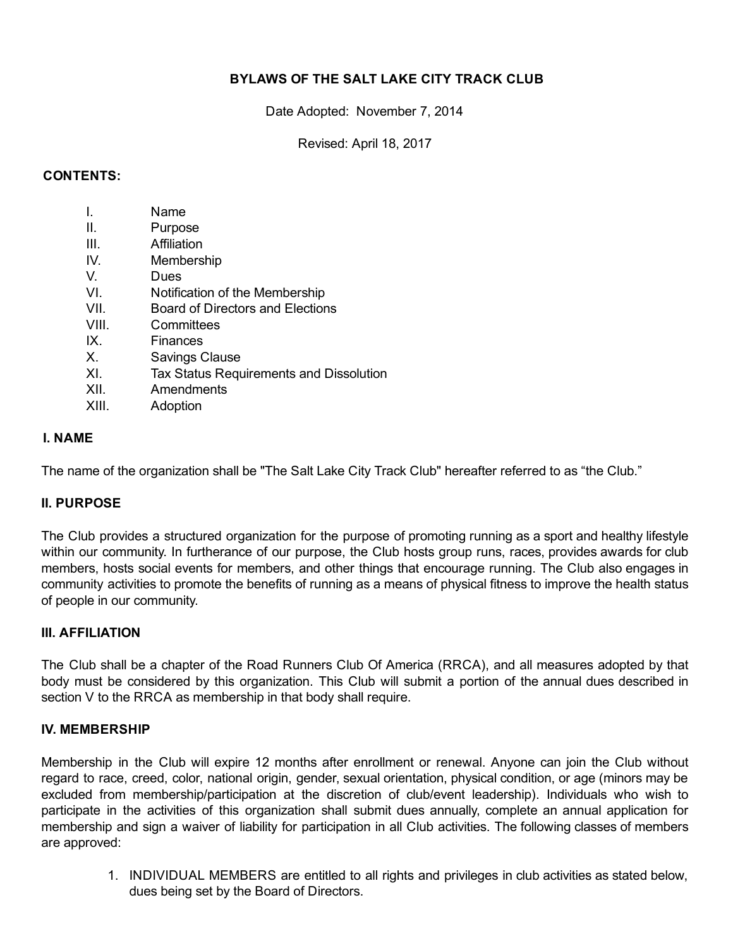# BYLAWS OF THE SALT LAKE CITY TRACK CLUB

Date Adopted: November 7, 2014

Revised: April 18, 2017

#### CONTENTS:

| $\mathsf{L}$ | Name                                    |
|--------------|-----------------------------------------|
| Ш.           | Purpose                                 |
| III.         | Affiliation                             |
| IV.          | Membership                              |
| V.           | Dues                                    |
| VI.          | Notification of the Membership          |
| VII.         | Board of Directors and Elections        |
| VIII.        | Committees                              |
| IX.          | Finances                                |
| Х.           | <b>Savings Clause</b>                   |
| XI.          | Tax Status Requirements and Dissolution |
| XII.         | Amendments                              |
| XIII.        | Adoption                                |

#### I. NAME

The name of the organization shall be "The Salt Lake City Track Club" hereafter referred to as "the Club."

#### II. PURPOSE

The Club provides a structured organization for the purpose of promoting running as a sport and healthy lifestyle within our community. In furtherance of our purpose, the Club hosts group runs, races, provides awards for club members, hosts social events for members, and other things that encourage running. The Club also engages in community activities to promote the benefits of running as a means of physical fitness to improve the health status of people in our community.

#### III. AFFILIATION

The Club shall be a chapter of the Road Runners Club Of America (RRCA), and all measures adopted by that body must be considered by this organization. This Club will submit a portion of the annual dues described in section V to the RRCA as membership in that body shall require.

#### IV. MEMBERSHIP

Membership in the Club will expire 12 months after enrollment or renewal. Anyone can join the Club without regard to race, creed, color, national origin, gender, sexual orientation, physical condition, or age (minors may be excluded from membership/participation at the discretion of club/event leadership). Individuals who wish to participate in the activities of this organization shall submit dues annually, complete an annual application for membership and sign a waiver of liability for participation in all Club activities. The following classes of members are approved:

> 1. INDIVIDUAL MEMBERS are entitled to all rights and privileges in club activities as stated below, dues being set by the Board of Directors.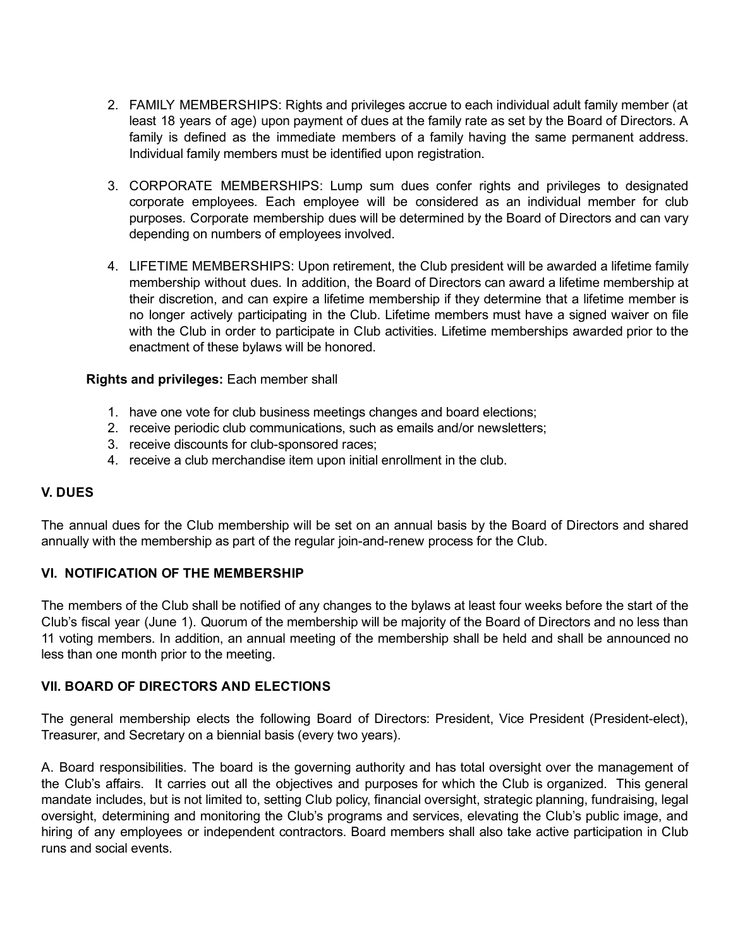- 2. FAMILY MEMBERSHIPS: Rights and privileges accrue to each individual adult family member (at least 18 years of age) upon payment of dues at the family rate as set by the Board of Directors. A family is defined as the immediate members of a family having the same permanent address. Individual family members must be identified upon registration.
- 3. CORPORATE MEMBERSHIPS: Lump sum dues confer rights and privileges to designated corporate employees. Each employee will be considered as an individual member for club purposes. Corporate membership dues will be determined by the Board of Directors and can vary depending on numbers of employees involved.
- 4. LIFETIME MEMBERSHIPS: Upon retirement, the Club president will be awarded a lifetime family membership without dues. In addition, the Board of Directors can award a lifetime membership at their discretion, and can expire a lifetime membership if they determine that a lifetime member is no longer actively participating in the Club. Lifetime members must have a signed waiver on file with the Club in order to participate in Club activities. Lifetime memberships awarded prior to the enactment of these bylaws will be honored.

## Rights and privileges: Each member shall

- 1. have one vote for club business meetings changes and board elections;
- 2. receive periodic club communications, such as emails and/or newsletters;
- 3. receive discounts for club-sponsored races;
- 4. receive a club merchandise item upon initial enrollment in the club.

## V. DUES

The annual dues for the Club membership will be set on an annual basis by the Board of Directors and shared annually with the membership as part of the regular join-and-renew process for the Club.

## VI. NOTIFICATION OF THE MEMBERSHIP

The members of the Club shall be notified of any changes to the bylaws at least four weeks before the start of the Club's fiscal year (June 1). Quorum of the membership will be majority of the Board of Directors and no less than 11 voting members. In addition, an annual meeting of the membership shall be held and shall be announced no less than one month prior to the meeting.

## VII. BOARD OF DIRECTORS AND ELECTIONS

The general membership elects the following Board of Directors: President, Vice President (President-elect), Treasurer, and Secretary on a biennial basis (every two years).

A. Board responsibilities. The board is the governing authority and has total oversight over the management of the Club's affairs. It carries out all the objectives and purposes for which the Club is organized. This general mandate includes, but is not limited to, setting Club policy, financial oversight, strategic planning, fundraising, legal oversight, determining and monitoring the Club's programs and services, elevating the Club's public image, and hiring of any employees or independent contractors. Board members shall also take active participation in Club runs and social events.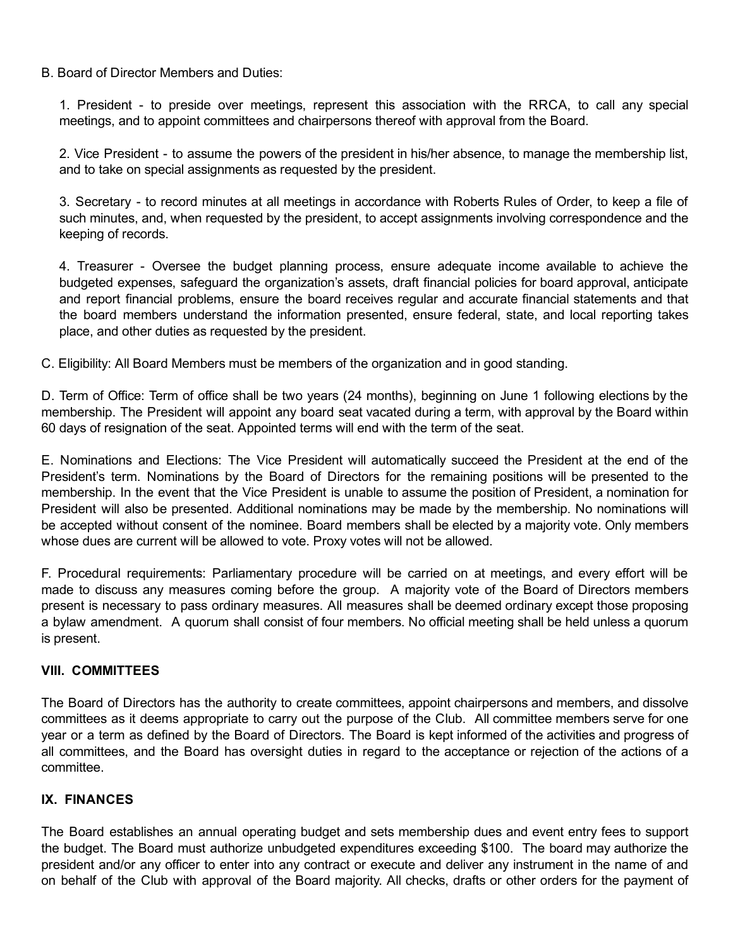## B. Board of Director Members and Duties:

1. President - to preside over meetings, represent this association with the RRCA, to call any special meetings, and to appoint committees and chairpersons thereof with approval from the Board.

2. Vice President - to assume the powers of the president in his/her absence, to manage the membership list, and to take on special assignments as requested by the president.

3. Secretary - to record minutes at all meetings in accordance with Roberts Rules of Order, to keep a file of such minutes, and, when requested by the president, to accept assignments involving correspondence and the keeping of records.

4. Treasurer Oversee the budget planning process, ensure adequate income available to achieve the budgeted expenses, safeguard the organization's assets, draft financial policies for board approval, anticipate and report financial problems, ensure the board receives regular and accurate financial statements and that the board members understand the information presented, ensure federal, state, and local reporting takes place, and other duties as requested by the president.

C. Eligibility: All Board Members must be members of the organization and in good standing.

D. Term of Office: Term of office shall be two years (24 months), beginning on June 1 following elections by the membership. The President will appoint any board seat vacated during a term, with approval by the Board within 60 days of resignation of the seat. Appointed terms will end with the term of the seat.

E. Nominations and Elections: The Vice President will automatically succeed the President at the end of the President's term. Nominations by the Board of Directors for the remaining positions will be presented to the membership. In the event that the Vice President is unable to assume the position of President, a nomination for President will also be presented. Additional nominations may be made by the membership. No nominations will be accepted without consent of the nominee. Board members shall be elected by a majority vote. Only members whose dues are current will be allowed to vote. Proxy votes will not be allowed.

F. Procedural requirements: Parliamentary procedure will be carried on at meetings, and every effort will be made to discuss any measures coming before the group. A majority vote of the Board of Directors members present is necessary to pass ordinary measures. All measures shall be deemed ordinary except those proposing a bylaw amendment. A quorum shall consist of four members. No official meeting shall be held unless a quorum is present.

## VIII. COMMITTEES

The Board of Directors has the authority to create committees, appoint chairpersons and members, and dissolve committees as it deems appropriate to carry out the purpose of the Club. All committee members serve for one year or a term as defined by the Board of Directors. The Board is kept informed of the activities and progress of all committees, and the Board has oversight duties in regard to the acceptance or rejection of the actions of a committee.

# IX. FINANCES

The Board establishes an annual operating budget and sets membership dues and event entry fees to support the budget. The Board must authorize unbudgeted expenditures exceeding \$100. The board may authorize the president and/or any officer to enter into any contract or execute and deliver any instrument in the name of and on behalf of the Club with approval of the Board majority. All checks, drafts or other orders for the payment of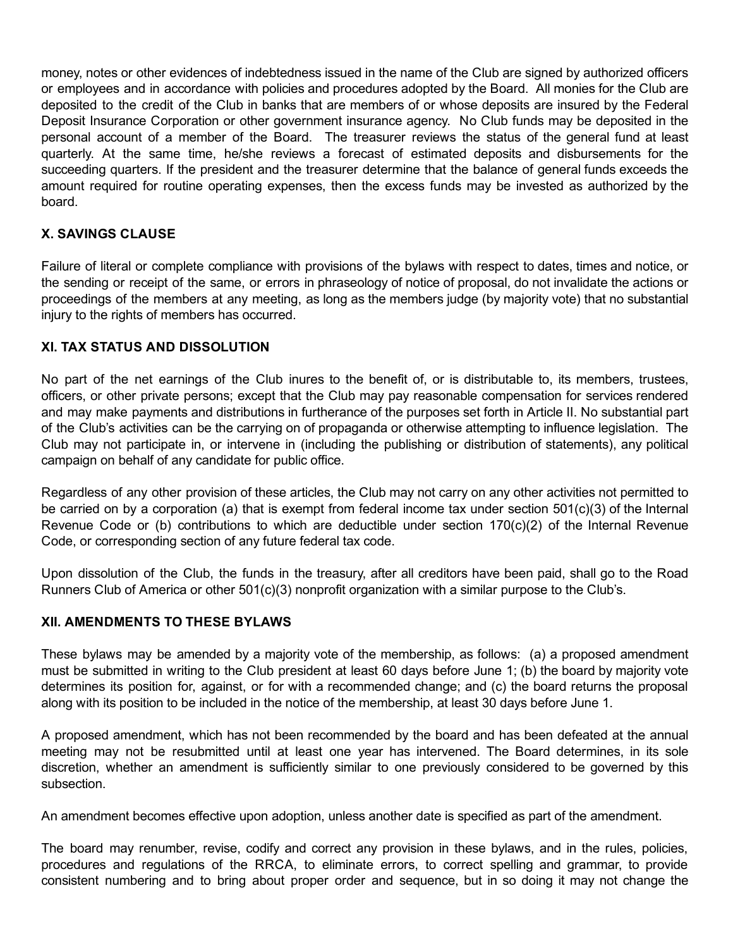money, notes or other evidences of indebtedness issued in the name of the Club are signed by authorized officers or employees and in accordance with policies and procedures adopted by the Board. All monies for the Club are deposited to the credit of the Club in banks that are members of or whose deposits are insured by the Federal Deposit Insurance Corporation or other government insurance agency. No Club funds may be deposited in the personal account of a member of the Board. The treasurer reviews the status of the general fund at least quarterly. At the same time, he/she reviews a forecast of estimated deposits and disbursements for the succeeding quarters. If the president and the treasurer determine that the balance of general funds exceeds the amount required for routine operating expenses, then the excess funds may be invested as authorized by the board.

# X. SAVINGS CLAUSE

Failure of literal or complete compliance with provisions of the bylaws with respect to dates, times and notice, or the sending or receipt of the same, or errors in phraseology of notice of proposal, do not invalidate the actions or proceedings of the members at any meeting, as long as the members judge (by majority vote) that no substantial injury to the rights of members has occurred.

## XI. TAX STATUS AND DISSOLUTION

No part of the net earnings of the Club inures to the benefit of, or is distributable to, its members, trustees, officers, or other private persons; except that the Club may pay reasonable compensation for services rendered and may make payments and distributions in furtherance of the purposes set forth in Article II. No substantial part of the Club's activities can be the carrying on of propaganda or otherwise attempting to influence legislation. The Club may not participate in, or intervene in (including the publishing or distribution of statements), any political campaign on behalf of any candidate for public office.

Regardless of any other provision of these articles, the Club may not carry on any other activities not permitted to be carried on by a corporation (a) that is exempt from federal income tax under section 501(c)(3) of the Internal Revenue Code or (b) contributions to which are deductible under section 170(c)(2) of the Internal Revenue Code, or corresponding section of any future federal tax code.

Upon dissolution of the Club, the funds in the treasury, after all creditors have been paid, shall go to the Road Runners Club of America or other 501(c)(3) nonprofit organization with a similar purpose to the Club's.

## XII. AMENDMENTS TO THESE BYLAWS

These bylaws may be amended by a majority vote of the membership, as follows: (a) a proposed amendment must be submitted in writing to the Club president at least 60 days before June 1; (b) the board by majority vote determines its position for, against, or for with a recommended change; and (c) the board returns the proposal along with its position to be included in the notice of the membership, at least 30 days before June 1.

A proposed amendment, which has not been recommended by the board and has been defeated at the annual meeting may not be resubmitted until at least one year has intervened. The Board determines, in its sole discretion, whether an amendment is sufficiently similar to one previously considered to be governed by this subsection.

An amendment becomes effective upon adoption, unless another date is specified as part of the amendment.

The board may renumber, revise, codify and correct any provision in these bylaws, and in the rules, policies, procedures and regulations of the RRCA, to eliminate errors, to correct spelling and grammar, to provide consistent numbering and to bring about proper order and sequence, but in so doing it may not change the